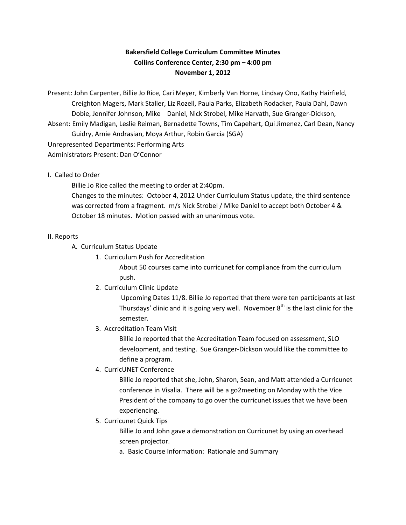# **Bakersfield College Curriculum Committee Minutes Collins Conference Center, 2:30 pm – 4:00 pm November 1, 2012**

Present: John Carpenter, Billie Jo Rice, Cari Meyer, Kimberly Van Horne, Lindsay Ono, Kathy Hairfield, Creighton Magers, Mark Staller, Liz Rozell, Paula Parks, Elizabeth Rodacker, Paula Dahl, Dawn Dobie, Jennifer Johnson, Mike Daniel, Nick Strobel, Mike Harvath, Sue Granger-Dickson, Absent: Emily Madigan, Leslie Reiman, Bernadette Towns, Tim Capehart, Qui Jimenez, Carl Dean, Nancy Guidry, Arnie Andrasian, Moya Arthur, Robin Garcia (SGA) Unrepresented Departments: Performing Arts Administrators Present: Dan O'Connor

## I. Called to Order

Billie Jo Rice called the meeting to order at 2:40pm.

Changes to the minutes: October 4, 2012 Under Curriculum Status update, the third sentence was corrected from a fragment. m/s Nick Strobel / Mike Daniel to accept both October 4 & October 18 minutes. Motion passed with an unanimous vote.

### II. Reports

A. Curriculum Status Update

1. Curriculum Push for Accreditation

About 50 courses came into curricunet for compliance from the curriculum push.

2. Curriculum Clinic Update

Upcoming Dates 11/8. Billie Jo reported that there were ten participants at last Thursdays' clinic and it is going very well. November  $8<sup>th</sup>$  is the last clinic for the semester.

3. Accreditation Team Visit

Billie Jo reported that the Accreditation Team focused on assessment, SLO development, and testing. Sue Granger-Dickson would like the committee to define a program.

4. CurricUNET Conference

Billie Jo reported that she, John, Sharon, Sean, and Matt attended a Curricunet conference in Visalia. There will be a go2meeting on Monday with the Vice President of the company to go over the curricunet issues that we have been experiencing.

5. Curricunet Quick Tips

Billie Jo and John gave a demonstration on Curricunet by using an overhead screen projector.

a. Basic Course Information: Rationale and Summary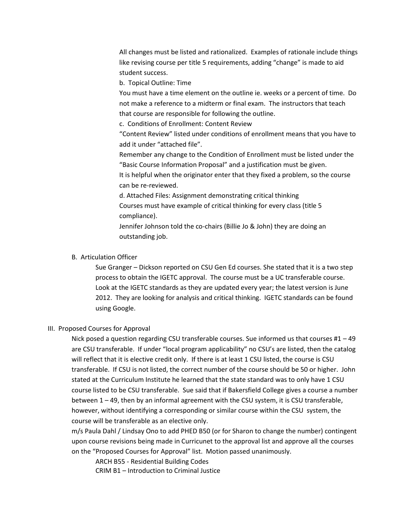All changes must be listed and rationalized. Examples of rationale include things like revising course per title 5 requirements, adding "change" is made to aid student success.

b. Topical Outline: Time

You must have a time element on the outline ie. weeks or a percent of time. Do not make a reference to a midterm or final exam. The instructors that teach that course are responsible for following the outline.

c. Conditions of Enrollment: Content Review

"Content Review" listed under conditions of enrollment means that you have to add it under "attached file".

Remember any change to the Condition of Enrollment must be listed under the "Basic Course Information Proposal" and a justification must be given.

It is helpful when the originator enter that they fixed a problem, so the course can be re-reviewed.

d. Attached Files: Assignment demonstrating critical thinking

Courses must have example of critical thinking for every class (title 5 compliance).

Jennifer Johnson told the co-chairs (Billie Jo & John) they are doing an outstanding job.

### B. Articulation Officer

Sue Granger – Dickson reported on CSU Gen Ed courses. She stated that it is a two step process to obtain the IGETC approval. The course must be a UC transferable course. Look at the IGETC standards as they are updated every year; the latest version is June 2012. They are looking for analysis and critical thinking. IGETC standards can be found using Google.

### III. Proposed Courses for Approval

Nick posed a question regarding CSU transferable courses. Sue informed us that courses #1 – 49 are CSU transferable. If under "local program applicability" no CSU's are listed, then the catalog will reflect that it is elective credit only. If there is at least 1 CSU listed, the course is CSU transferable. If CSU is not listed, the correct number of the course should be 50 or higher. John stated at the Curriculum Institute he learned that the state standard was to only have 1 CSU course listed to be CSU transferable. Sue said that if Bakersfield College gives a course a number between 1 – 49, then by an informal agreement with the CSU system, it is CSU transferable, however, without identifying a corresponding or similar course within the CSU system, the course will be transferable as an elective only.

m/s Paula Dahl / Lindsay Ono to add PHED B50 (or for Sharon to change the number) contingent upon course revisions being made in Curricunet to the approval list and approve all the courses on the "Proposed Courses for Approval" list. Motion passed unanimously.

ARCH B55 - Residential Building Codes

CRIM B1 – Introduction to Criminal Justice